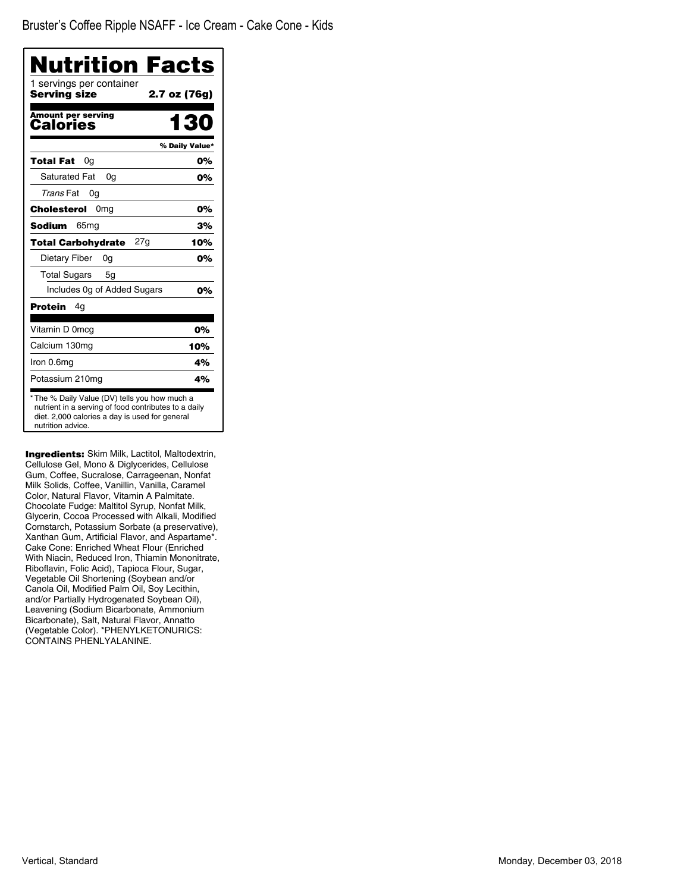| Nutrition Facts<br>1 servings per container |                |
|---------------------------------------------|----------------|
| <b>Serving size</b>                         | 2.7 oz (76g)   |
| <b>Amount per serving</b><br>Calories       | 130            |
|                                             | % Daily Value* |
| Total Fat<br>0g                             | 0%             |
| <b>Saturated Fat</b><br>0a                  | 0%             |
| Trans Fat<br>0g                             |                |
| 0 <sub>mg</sub><br>Cholesterol              | 0%             |
| <b>Sodium</b><br>65mg                       | 3%             |
| <b>Total Carbohydrate</b><br>27g            | 10%            |
| Dietary Fiber<br>0g                         | 0%             |
| <b>Total Sugars</b><br>5g                   |                |
| Includes 0g of Added Sugars                 | 0%             |
| <b>Protein</b><br>4g                        |                |
| Vitamin D 0mcg                              | 0%             |
| Calcium 130mg                               | 10%            |
| Iron 0.6mg                                  | 4%             |
| Potassium 210mg                             | 4%             |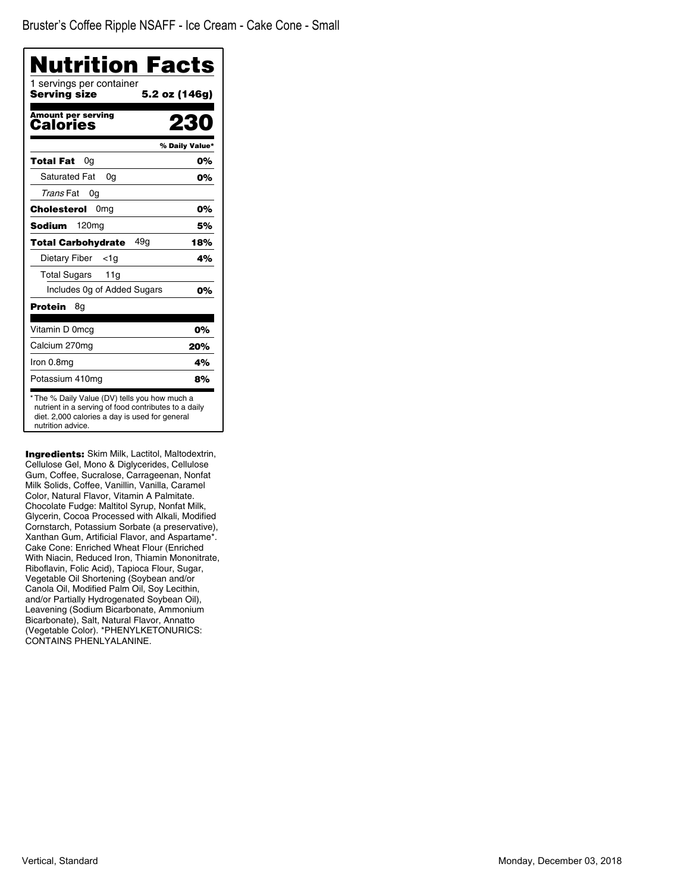| Nutrition Facts                          |                |
|------------------------------------------|----------------|
| 1 servings per container<br>Serving size | 5.2 oz (146g)  |
| Amount per serving<br>Calories           |                |
|                                          | % Daily Value* |
| <b>Total Fat</b><br>0a                   | 0%             |
| <b>Saturated Fat</b><br>0a               | 0%             |
| Trans Fat<br>0g                          |                |
| 0 <sub>mg</sub><br>Cholesterol           | 0%             |
| <b>Sodium</b><br>120mg                   | 5%             |
| 49a<br>Total Carbohydrate                | 18%            |
| Dietary Fiber<br><1a                     | 4%             |
| <b>Total Sugars</b><br>11g               |                |
| Includes 0g of Added Sugars              | 0%             |
| Protein<br>8g                            |                |
| Vitamin D 0mcg                           | 0%             |
| Calcium 270mg                            | 20%            |
| Iron 0.8mg                               | 4%             |
| Potassium 410mg                          | 8%             |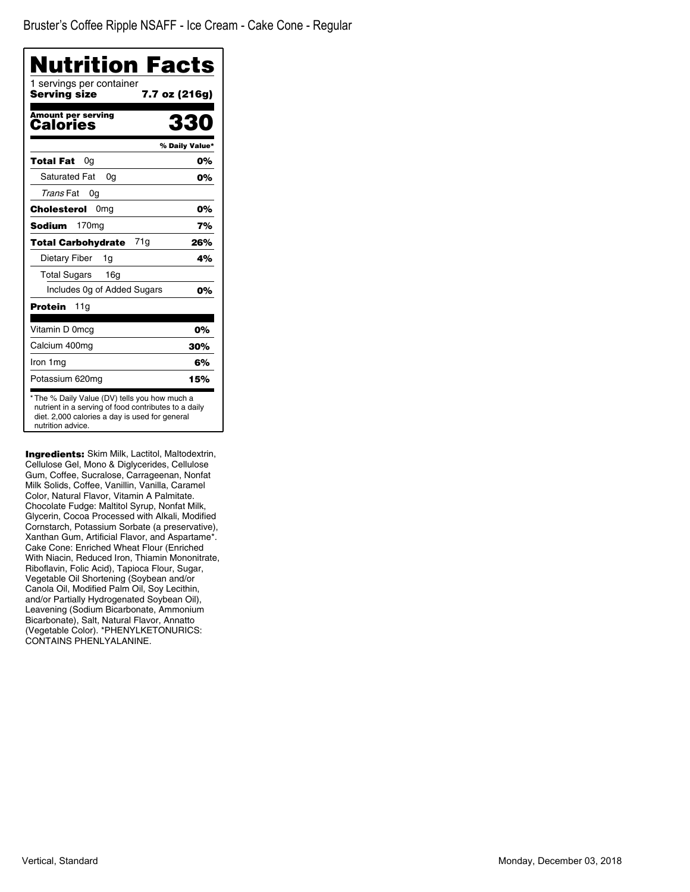| Nutrition Facts                          |                |
|------------------------------------------|----------------|
| 1 servings per container<br>Serving size | 7.7 oz (216g)  |
| <b>Amount per serving</b><br>Calories    | 330            |
|                                          | % Daily Value* |
| Total Fat<br>0a                          | 0%             |
| <b>Saturated Fat</b><br>0a               | 0%             |
| Trans Fat<br>0g                          |                |
| Cholesterol<br>0 <sub>mg</sub>           | 0%             |
| Sodium<br>170 <sub>mg</sub>              | 7%             |
| 71g<br><b>Total Carbohydrate</b>         | 26%            |
| Dietary Fiber<br>1g                      | 4%             |
| <b>Total Sugars</b><br>16g               |                |
| Includes Og of Added Sugars              | 0%             |
| Protein<br>11g                           |                |
| Vitamin D 0mcg                           | 0%             |
| Calcium 400mg                            | 30%            |
| Iron 1 mg                                | 6%             |
| Potassium 620mg                          | 15%            |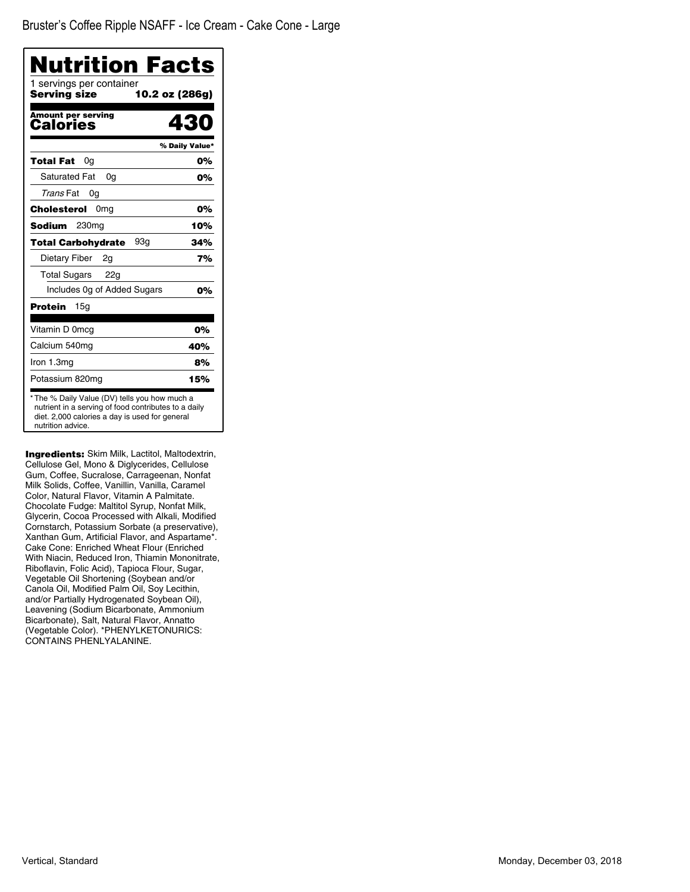| <b>Nutrition Facts</b><br>1 servings per container<br>Serving size | 10.2 oz (286g) |
|--------------------------------------------------------------------|----------------|
| <b>Amount per serving</b><br>Calories                              | 430            |
|                                                                    | % Daily Value* |
| Total Fat<br>0g                                                    | 0%             |
| <b>Saturated Fat</b><br>0a                                         | 0%             |
| Trans Fat<br>0g                                                    |                |
| Cholesterol<br>0mg                                                 | 0%             |
| Sodium<br>230mg                                                    | 10%            |
| 93a<br><b>Total Carbohydrate</b>                                   | 34%            |
| Dietary Fiber<br>2g                                                | 7%             |
| <b>Total Sugars</b><br>22g                                         |                |
| Includes 0g of Added Sugars                                        | 0%             |
| 15g<br>Protein                                                     |                |
| Vitamin D 0mcg                                                     | 0%             |
| Calcium 540mg                                                      | 40%            |
| Iron 1.3mg                                                         | 8%             |
| Potassium 820mg                                                    | 15%            |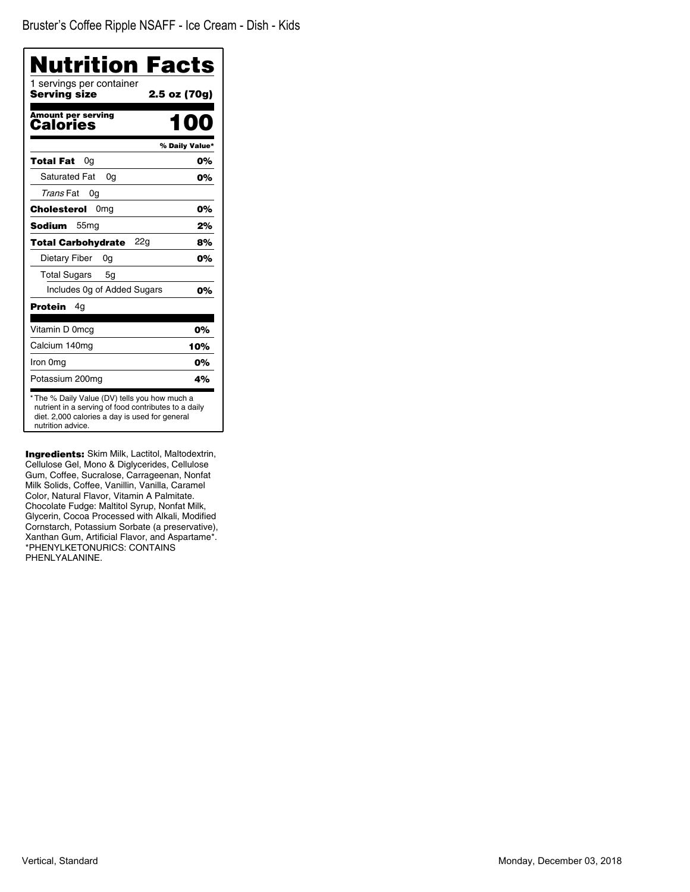| Nutrition Facts<br>1 servings per container<br><b>Serving size</b> | 2.5 oz (70g)   |
|--------------------------------------------------------------------|----------------|
|                                                                    |                |
| <b>Amount per serving</b><br><b>Calories</b>                       |                |
|                                                                    | % Daily Value* |
| Total Fat<br>0a                                                    | 0%             |
| <b>Saturated Fat</b><br>0q                                         | 0%             |
| Trans Fat<br>0g                                                    |                |
| Cholesterol<br>0 <sub>mg</sub>                                     | 0%             |
| Sodium<br>55 <sub>mg</sub>                                         | 2%             |
| <b>Total Carbohydrate</b><br>22g                                   | 8%             |
| <b>Dietary Fiber</b><br>0g                                         | 0%             |
| <b>Total Sugars</b><br>5g                                          |                |
| Includes 0g of Added Sugars                                        | 0%             |
| Protein<br>4g                                                      |                |
| Vitamin D 0mcg                                                     | 0%             |
| Calcium 140mg                                                      | 10%            |
| Iron 0mg                                                           | 0%             |
| Potassium 200mg                                                    | 4%             |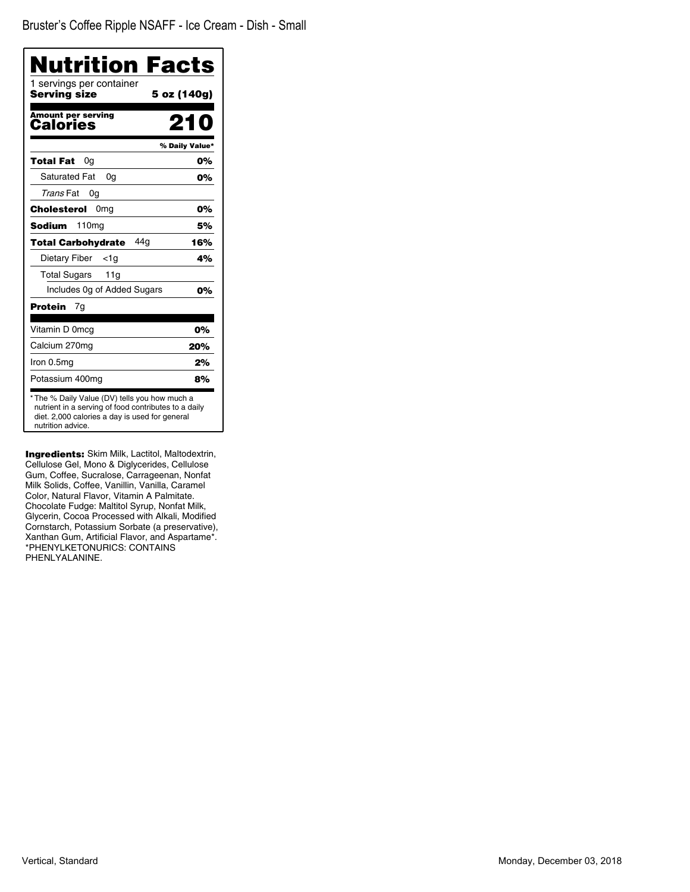| Nutrition Facts                          |                |
|------------------------------------------|----------------|
| 1 servings per container<br>Serving size | 5 oz (140g)    |
| <b>Amount per serving</b><br>Calories    | 21 N           |
|                                          | % Daily Value* |
| Total Fat<br>0a                          | 0%             |
| <b>Saturated Fat</b><br>0a               | 0%             |
| Trans Fat<br>0a                          |                |
| Cholesterol<br>0 <sub>mg</sub>           | 0%             |
| 110 <sub>mg</sub><br>Sodium              | 5%             |
| 44a<br><b>Total Carbohydrate</b>         | 16%            |
| Dietary Fiber<br><1a                     | 4%             |
| <b>Total Sugars</b><br>11g               |                |
| Includes Og of Added Sugars              | 0%             |
| Protein<br>7g                            |                |
| Vitamin D 0mcg                           | 0%             |
| Calcium 270mg                            | 20%            |
| Iron 0.5mg                               | 2%             |
| Potassium 400mg                          | 8%             |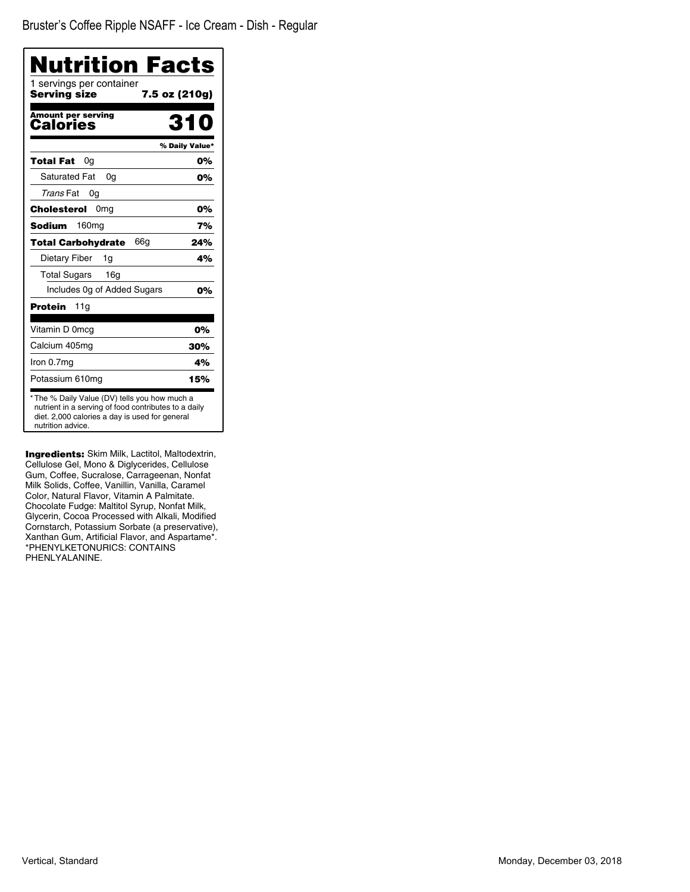Bruster's Coffee Ripple NSAFF - Ice Cream - Dish - Regular

| <b>Nutrition Facts</b>                                                                                                                                                       |                |
|------------------------------------------------------------------------------------------------------------------------------------------------------------------------------|----------------|
| 1 servings per container<br>Serving size<br>7.5 oz (210g)                                                                                                                    |                |
| Amount per serving<br>Calories                                                                                                                                               | 310            |
|                                                                                                                                                                              | % Daily Value* |
| 0a<br>Total Fat                                                                                                                                                              | 0%             |
| <b>Saturated Fat</b><br>0g                                                                                                                                                   | 0%             |
| Trans Fat<br>0g                                                                                                                                                              |                |
| <b>Cholesterol</b><br>0 <sub>mg</sub>                                                                                                                                        | 0%             |
| 160 <sub>mg</sub><br>Sodium                                                                                                                                                  | 7%             |
| 66a<br>Total Carbohydrate                                                                                                                                                    | 24%            |
| Dietary Fiber<br>1g                                                                                                                                                          | 4%             |
| 16 <sub>g</sub><br><b>Total Sugars</b>                                                                                                                                       |                |
| Includes Og of Added Sugars                                                                                                                                                  | 0%             |
| <b>Protein</b><br>11g                                                                                                                                                        |                |
| Vitamin D 0mcq                                                                                                                                                               | 0%             |
| Calcium 405mg                                                                                                                                                                | 30%            |
| Iron 0.7mg                                                                                                                                                                   | 4%             |
| Potassium 610mg                                                                                                                                                              | 15%            |
| * The % Daily Value (DV) tells you how much a<br>nutrient in a serving of food contributes to a daily<br>diet. 2,000 calories a day is used for general<br>nutrition advice. |                |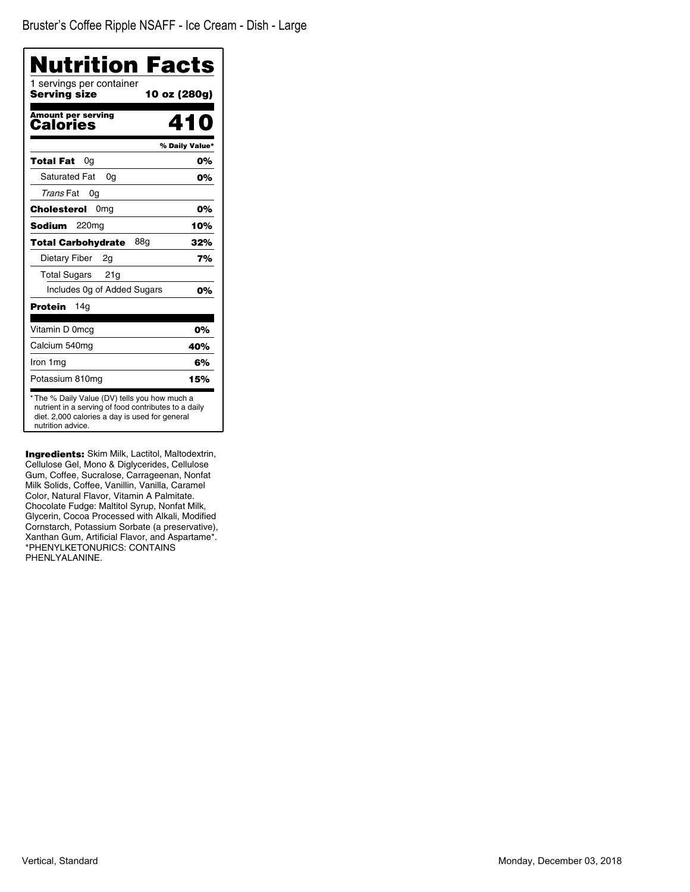| Nutrition Facts                                                                                                                                                              |     |
|------------------------------------------------------------------------------------------------------------------------------------------------------------------------------|-----|
| 1 servings per container<br>Serving size<br>10 oz (280g)                                                                                                                     |     |
| <b>Amount per serving</b><br>410<br>Calories                                                                                                                                 |     |
| % Daily Value*                                                                                                                                                               |     |
| Total Fat<br>0a                                                                                                                                                              | 0%  |
| <b>Saturated Fat</b><br>0g                                                                                                                                                   | 0%  |
| Trans Fat<br>0a                                                                                                                                                              |     |
| Cholesterol<br>0 <sub>mg</sub>                                                                                                                                               | 0%  |
| 220 <sub>mg</sub><br>Sodium                                                                                                                                                  | 10% |
| 88g<br><b>Total Carbohydrate</b>                                                                                                                                             | 32% |
| Dietary Fiber<br>2q                                                                                                                                                          | 7%  |
| <b>Total Sugars</b><br>21g                                                                                                                                                   |     |
| Includes Og of Added Sugars                                                                                                                                                  | 0%  |
| 14g<br>Protein                                                                                                                                                               |     |
| Vitamin D 0mcg                                                                                                                                                               | 0%  |
| Calcium 540mg                                                                                                                                                                | 40% |
| Iron 1mg                                                                                                                                                                     | 6%  |
| Potassium 810mg                                                                                                                                                              | 15% |
| * The % Daily Value (DV) tells you how much a<br>nutrient in a serving of food contributes to a daily<br>diet. 2,000 calories a day is used for general<br>nutrition advice. |     |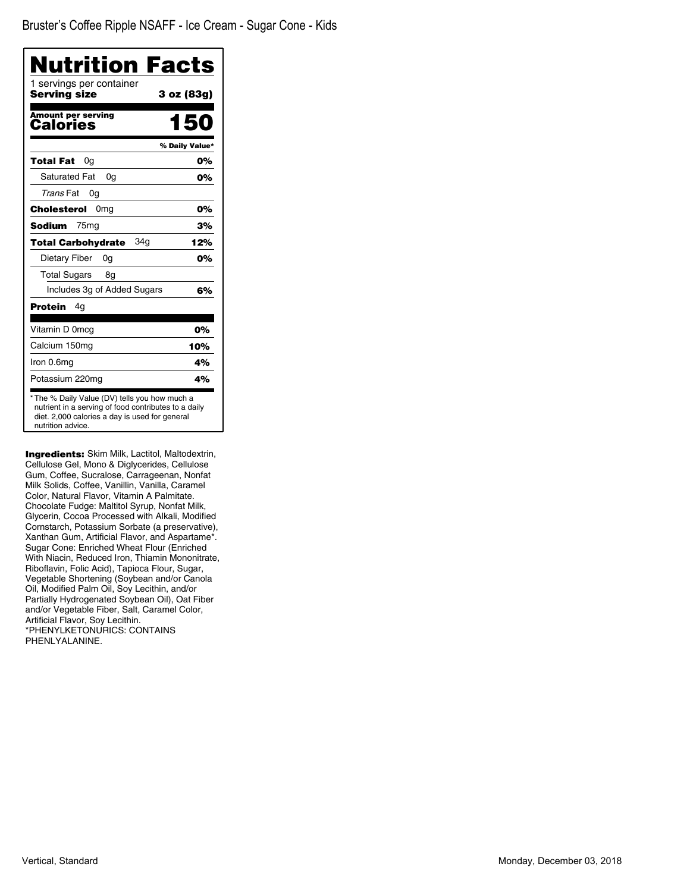| Nutrition Facts                                                                                                                                                              |                |
|------------------------------------------------------------------------------------------------------------------------------------------------------------------------------|----------------|
| 1 servings per container<br>Serving size                                                                                                                                     | 3 oz (83g)     |
| <b>Amount per serving</b><br>Calories                                                                                                                                        | 150            |
|                                                                                                                                                                              | % Daily Value* |
| Total Fat<br>0g                                                                                                                                                              | 0%             |
| <b>Saturated Fat</b><br>0q                                                                                                                                                   | 0%             |
| Trans Fat<br>0g                                                                                                                                                              |                |
| 0 <sub>mg</sub><br>Cholesterol                                                                                                                                               | 0%             |
| <b>Sodium</b><br>75 <sub>mg</sub>                                                                                                                                            | 3%             |
| 34a<br><b>Total Carbohydrate</b>                                                                                                                                             | 12%            |
| Dietary Fiber<br>0a                                                                                                                                                          | 0%             |
| <b>Total Sugars</b><br>8g                                                                                                                                                    |                |
| Includes 3g of Added Sugars                                                                                                                                                  | 6%             |
| Protein<br>4g                                                                                                                                                                |                |
| Vitamin D 0mcg                                                                                                                                                               | 0%             |
| Calcium 150mg                                                                                                                                                                | 10%            |
| Iron 0.6mg                                                                                                                                                                   | 4%             |
| Potassium 220mg                                                                                                                                                              | 4%             |
| * The % Daily Value (DV) tells you how much a<br>nutrient in a serving of food contributes to a daily<br>diet. 2,000 calories a day is used for general<br>nutrition advice. |                |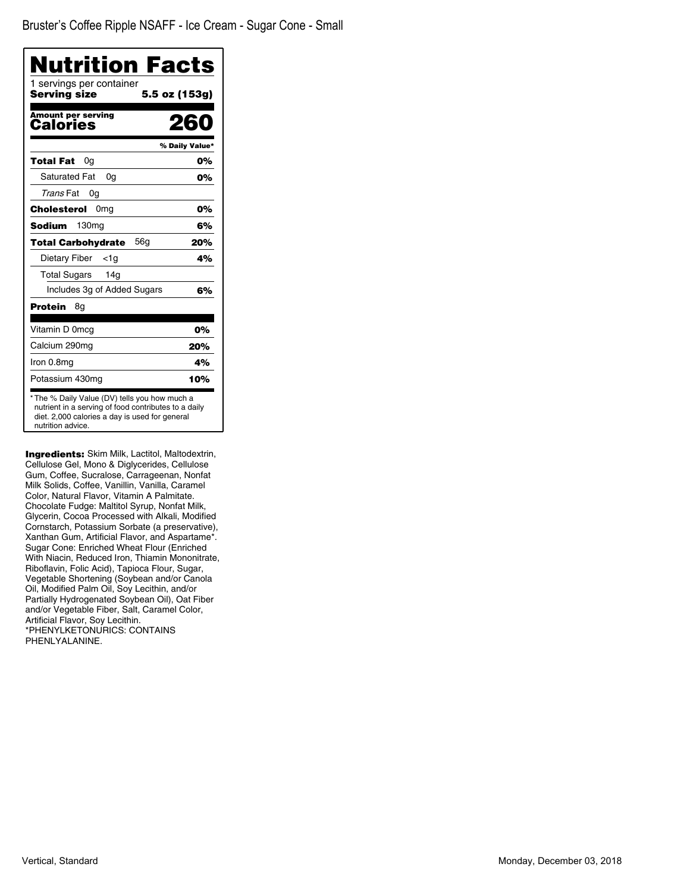| Nutrition Facts                          |                |
|------------------------------------------|----------------|
| 1 servings per container<br>Serving size | 5.5 oz (153g)  |
| <b>Amount per serving</b><br>Calories    | 260            |
|                                          | % Daily Value* |
| Total Fat<br>0g                          | 0%             |
| <b>Saturated Fat</b><br>0a               | 0%             |
| Trans Fat<br>0g                          |                |
| Cholesterol<br>0 <sub>mq</sub>           | 0%             |
| Sodium<br>130 <sub>mg</sub>              | 6%             |
| 56a<br>Total Carbohydrate                | 20%            |
| Dietary Fiber<br><1a                     | 4%             |
| <b>Total Sugars</b><br>14g               |                |
| Includes 3g of Added Sugars              | 6%             |
| <b>Protein</b><br>8g                     |                |
| Vitamin D 0mcg                           | 0%             |
| Calcium 290mg                            | 20%            |
| Iron 0.8mg                               | 4%             |
| Potassium 430mg                          | 10%            |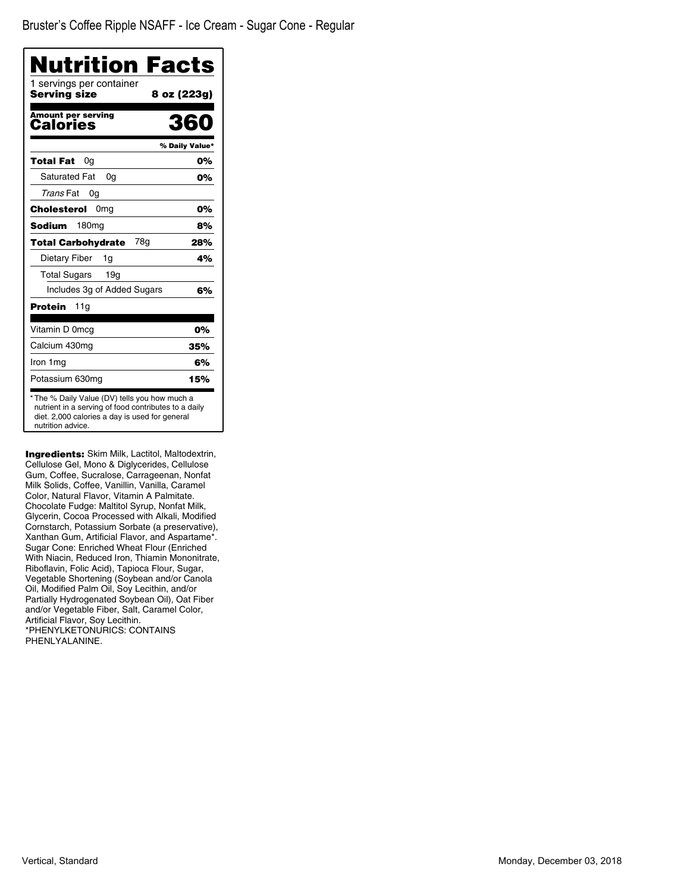| Nutrition Facts                                                                                                                                                              |                |
|------------------------------------------------------------------------------------------------------------------------------------------------------------------------------|----------------|
| 1 servings per container<br>Serving size                                                                                                                                     | 8 oz (223g)    |
| <b>Amount per serving</b><br><b>Calories</b>                                                                                                                                 | 360            |
|                                                                                                                                                                              | % Daily Value* |
| Total Fat<br>0g                                                                                                                                                              | 0%             |
| Saturated Fat<br>0a                                                                                                                                                          | 0%             |
| Trans Fat<br>0g                                                                                                                                                              |                |
| Cholesterol<br>0mg                                                                                                                                                           | 0%             |
| 180 <sub>mg</sub><br>Sodium                                                                                                                                                  | 8%             |
| 78a<br><b>Total Carbohydrate</b>                                                                                                                                             | 28%            |
| Dietary Fiber<br>1g                                                                                                                                                          | 4%             |
| <b>Total Sugars</b><br>19 <sub>q</sub>                                                                                                                                       |                |
| Includes 3g of Added Sugars                                                                                                                                                  | 6%             |
| Protein<br>11g                                                                                                                                                               |                |
| Vitamin D 0mcg                                                                                                                                                               | 0%             |
| Calcium 430mg                                                                                                                                                                | 35%            |
| Iron 1mg                                                                                                                                                                     | 6%             |
| Potassium 630mg                                                                                                                                                              | 15%            |
| * The % Daily Value (DV) tells you how much a<br>nutrient in a serving of food contributes to a daily<br>diet. 2,000 calories a day is used for general<br>nutrition advice. |                |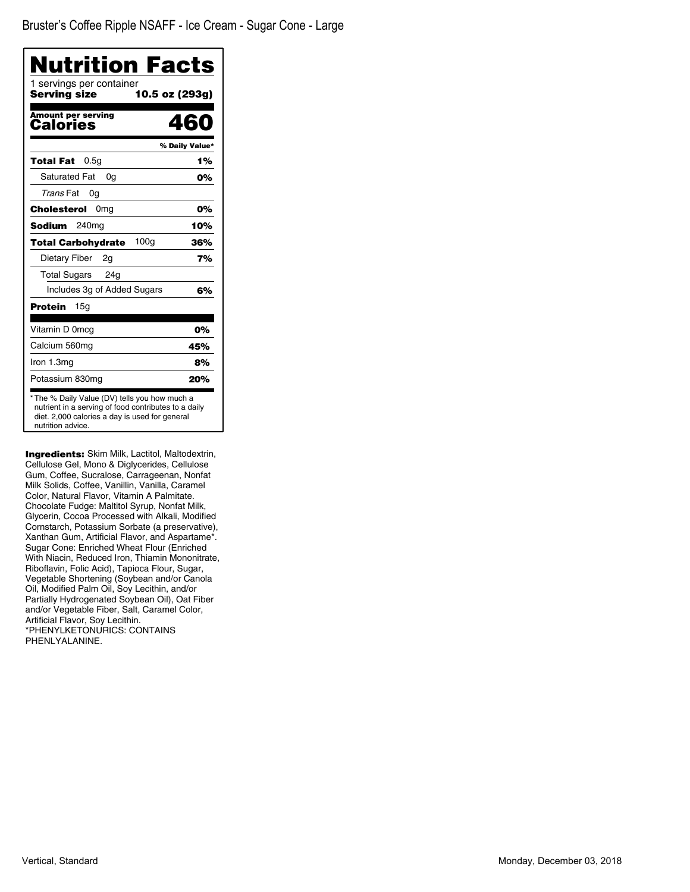| <b>Nutrition Facts</b><br>1 servings per container |                |
|----------------------------------------------------|----------------|
| Serving size                                       | 10.5 oz (293g) |
| <b>Amount per serving</b><br>Calories              | 460            |
|                                                    | % Daily Value* |
| 0.5 <sub>g</sub><br>Total Fat                      | 1%             |
| <b>Saturated Fat</b><br>0a                         | 0%             |
| Trans Fat<br>0g                                    |                |
| 0 <sub>mg</sub><br>Cholesterol                     | 0%             |
| <b>Sodium</b><br>240 <sub>mg</sub>                 | 10%            |
| 100 <sub>g</sub><br><b>Total Carbohydrate</b>      | 36%            |
| Dietary Fiber<br>2g                                | 7%             |
| <b>Total Sugars</b><br>24a                         |                |
| Includes 3g of Added Sugars                        | 6%             |
| <b>Protein</b><br>15g                              |                |
| Vitamin D 0mcg                                     | 0%             |
| Calcium 560mg                                      | 45%            |
| Iron 1.3mg                                         | 8%             |
| Potassium 830mg                                    | 20%            |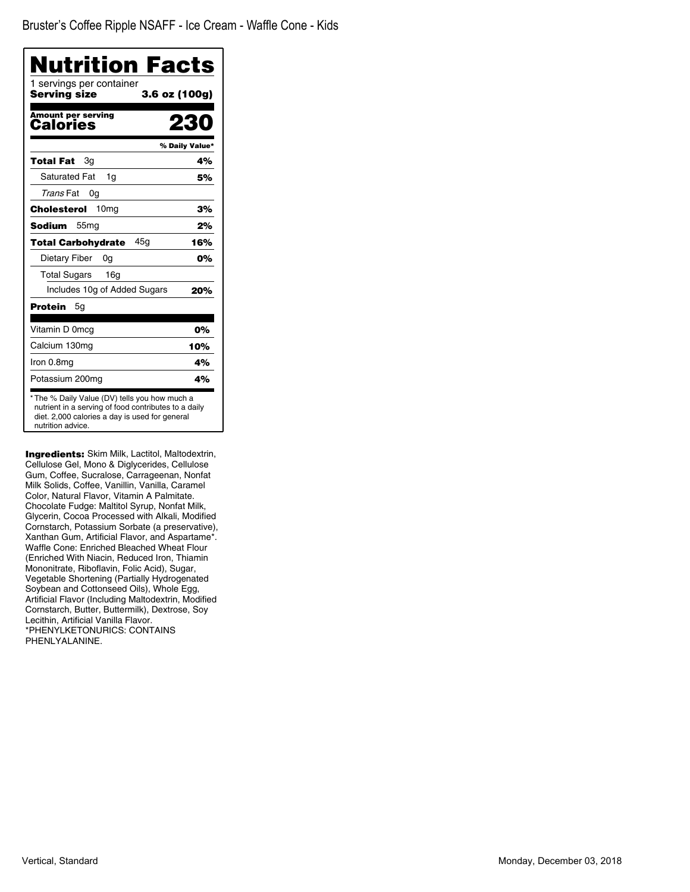| Nutrition Facts                          |                |
|------------------------------------------|----------------|
| 1 servings per container<br>Serving size | 3.6 oz (100g)  |
| <b>Amount per serving</b><br>Calories    | 23             |
|                                          | % Daily Value* |
| Total Fat<br>3g                          | 4%             |
| <b>Saturated Fat</b><br>1q               | 5%             |
| Trans Fat<br>0g                          |                |
| Cholesterol<br>10 <sub>mg</sub>          | 3%             |
| <b>Sodium</b><br>55 <sub>mg</sub>        | 2%             |
| 45g<br><b>Total Carbohydrate</b>         | 16%            |
| Dietary Fiber<br>0g                      | 0%             |
| <b>Total Sugars</b><br>16 <sub>q</sub>   |                |
| Includes 10g of Added Sugars             | 20%            |
| Protein<br>5g                            |                |
| Vitamin D 0mcg                           | 0%             |
| Calcium 130mg                            | 10%            |
| Iron 0.8mg                               | 4%             |
|                                          | 4%             |

**Ingredients:** Skim Milk, Lactitol, Maltodextrin, Cellulose Gel, Mono & Diglycerides, Cellulose Gum, Coffee, Sucralose, Carrageenan, Nonfat Milk Solids, Coffee, Vanillin, Vanilla, Caramel Color, Natural Flavor, Vitamin A Palmitate. Chocolate Fudge: Maltitol Syrup, Nonfat Milk, Glycerin, Cocoa Processed with Alkali, Modified Cornstarch, Potassium Sorbate (a preservative), Xanthan Gum, Artificial Flavor, and Aspartame\*. Waffle Cone: Enriched Bleached Wheat Flour (Enriched With Niacin, Reduced Iron, Thiamin Mononitrate, Riboflavin, Folic Acid), Sugar, Vegetable Shortening (Partially Hydrogenated Soybean and Cottonseed Oils), Whole Egg, Artificial Flavor (Including Maltodextrin, Modified Cornstarch, Butter, Buttermilk), Dextrose, Soy Lecithin, Artificial Vanilla Flavor. \*PHENYLKETONURICS: CONTAINS PHENLYALANINE.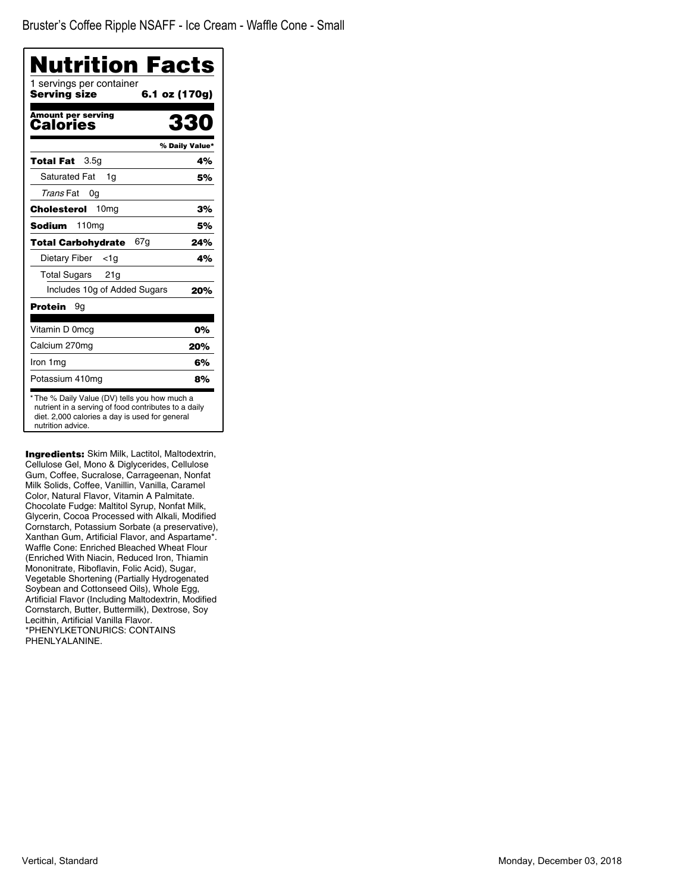| Nutrition Facts                          |                |
|------------------------------------------|----------------|
| 1 servings per container<br>Serving size | 6.1 oz (170g)  |
| <b>Amount per serving</b><br>Calories    | 330            |
|                                          | % Daily Value* |
| 3.5 <sub>q</sub><br>Total Fat            | 4%             |
| <b>Saturated Fat</b><br>1q               | 5%             |
| Trans Fat<br>0g                          |                |
| 10 <sub>mq</sub><br>Cholesterol          | 3%             |
| Sodium<br>110mg                          | 5%             |
| 67g<br><b>Total Carbohydrate</b>         | 24%            |
| Dietary Fiber<br><1a                     | 4%             |
| <b>Total Sugars</b><br>21g               |                |
| Includes 10g of Added Sugars             | 20%            |
| Protein<br>9g                            |                |
| Vitamin D 0mcg                           | 0%             |
| Calcium 270mg                            | 20%            |
| Iron 1 mg                                | 6%             |
| Potassium 410mg                          | 8%             |

**Ingredients:** Skim Milk, Lactitol, Maltodextrin, Cellulose Gel, Mono & Diglycerides, Cellulose Gum, Coffee, Sucralose, Carrageenan, Nonfat Milk Solids, Coffee, Vanillin, Vanilla, Caramel Color, Natural Flavor, Vitamin A Palmitate. Chocolate Fudge: Maltitol Syrup, Nonfat Milk, Glycerin, Cocoa Processed with Alkali, Modified Cornstarch, Potassium Sorbate (a preservative), Xanthan Gum, Artificial Flavor, and Aspartame\*. Waffle Cone: Enriched Bleached Wheat Flour (Enriched With Niacin, Reduced Iron, Thiamin Mononitrate, Riboflavin, Folic Acid), Sugar, Vegetable Shortening (Partially Hydrogenated Soybean and Cottonseed Oils), Whole Egg, Artificial Flavor (Including Maltodextrin, Modified Cornstarch, Butter, Buttermilk), Dextrose, Soy Lecithin, Artificial Vanilla Flavor. \*PHENYLKETONURICS: CONTAINS PHENLYALANINE.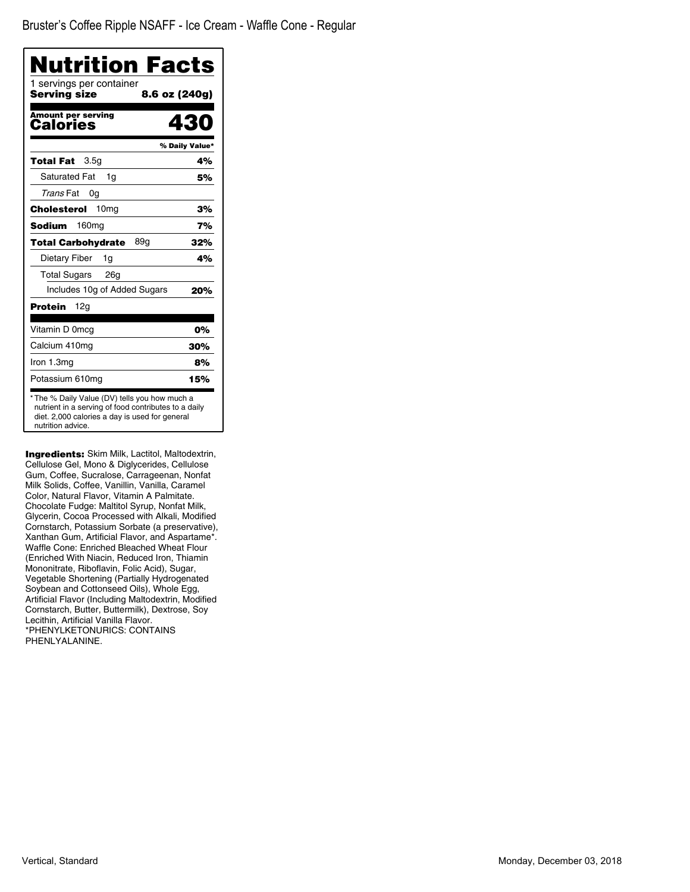| Nutrition Facts                          |                |
|------------------------------------------|----------------|
| 1 servings per container<br>Serving size | 8.6 oz (240g)  |
| <b>Amount per serving</b><br>Calories    | 430            |
|                                          | % Daily Value* |
| 3.5g<br>Total Fat                        | 4%             |
| <b>Saturated Fat</b><br>1g               | 5%             |
| Trans Fat<br>0g                          |                |
| 10 <sub>mg</sub><br>Cholesterol          | 3%             |
| Sodium<br>160 <sub>mg</sub>              | 7%             |
| 89g<br><b>Total Carbohydrate</b>         | 32%            |
| Dietary Fiber<br>1g                      | 4%             |
| <b>Total Sugars</b><br>26g               |                |
| Includes 10g of Added Sugars             | 20%            |
| Protein<br>12g                           |                |
| Vitamin D 0mcg                           | 0%             |
| Calcium 410mg                            | 30%            |
| Iron 1.3mg                               | 8%             |
| Potassium 610mg                          | 15%            |

Ingredients: Skim Milk, Lactitol, Maltodextrin, Cellulose Gel, Mono & Diglycerides, Cellulose Gum, Coffee, Sucralose, Carrageenan, Nonfat Milk Solids, Coffee, Vanillin, Vanilla, Caramel Color, Natural Flavor, Vitamin A Palmitate. Chocolate Fudge: Maltitol Syrup, Nonfat Milk, Glycerin, Cocoa Processed with Alkali, Modified Cornstarch, Potassium Sorbate (a preservative), Xanthan Gum, Artificial Flavor, and Aspartame\*. Waffle Cone: Enriched Bleached Wheat Flour (Enriched With Niacin, Reduced Iron, Thiamin Mononitrate, Riboflavin, Folic Acid), Sugar, Vegetable Shortening (Partially Hydrogenated Soybean and Cottonseed Oils), Whole Egg, Artificial Flavor (Including Maltodextrin, Modified Cornstarch, Butter, Buttermilk), Dextrose, Soy Lecithin, Artificial Vanilla Flavor. \*PHENYLKETONURICS: CONTAINS PHENLYALANINE.